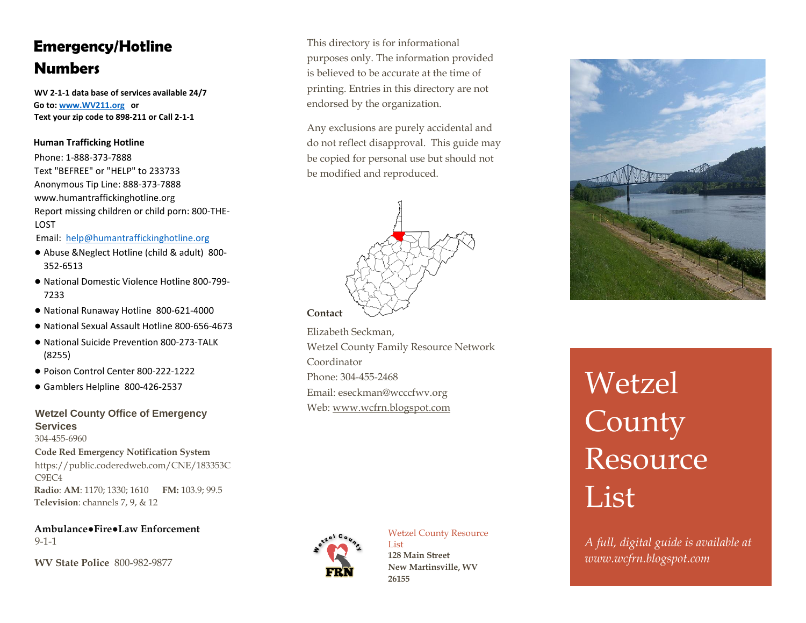## **Emergency/Hotline Numbers**

**WV 2-1-1 data base of services available 24/7 Go to[: www.WV211.org o](http://www.wv211.org/)r Text your zip code to 898-211 or Call 2-1-1** 

## **Human Trafficking Hotline**

Phone: 1-888-373-7888 Text "BEFREE" or "HELP" to 233733 Anonymous Tip Line: 888-373-7888 www.humantraffickinghotline.org Report missing children or child porn: 800-THE-LOST

Email: help@humantraffickinghotline.org

- Abuse &Neglect Hotline (child & adult) 800- 352-6513
- National Domestic Violence Hotline 800-799- 7233
- National Runaway Hotline 800-621-4000
- National Sexual Assault Hotline 800-656-4673
- National Suicide Prevention 800-273-TALK (8255)
- Poison Control Center 800-222-1222
- Gamblers Helpline 800-426-2537

### **Wetzel County Office of Emergency Services**  304-455-6960

**Code Red Emergency Notification System** https://public.coderedweb.com/CNE/183353C C9EC4 **Radio**: **AM**: 1170; 1330; 1610 **FM:** 103.9; 99.5 **Television**: channels 7, 9, & 12

**Ambulance●Fire●Law Enforcement**  9-1-1

**WV State Police** 800-982-9877

This directory is for informational purposes only. The information provided is believed to be accurate at the time of printing. Entries in this directory are not endorsed by the organization.

Any exclusions are purely accidental and do not reflect disapproval. This guide may be copied for personal use but should not be modified and reproduced.



Elizabeth Seckman, Wetzel County Family Resource Network Coordinator Phone: 304-455-2468 Email: eseckman@wcccfwv.org Web: [www.wcfrn.blogspot.com](http://www.wcfrn.blogspot.com/)



#### Wetzel County Resource List

**128 Main Street New Martinsville, WV 26155**



# Wetzel **County** Resource<sup></sup> List

*A full, digital guide is available at www.wcfrn.blogspot.com*